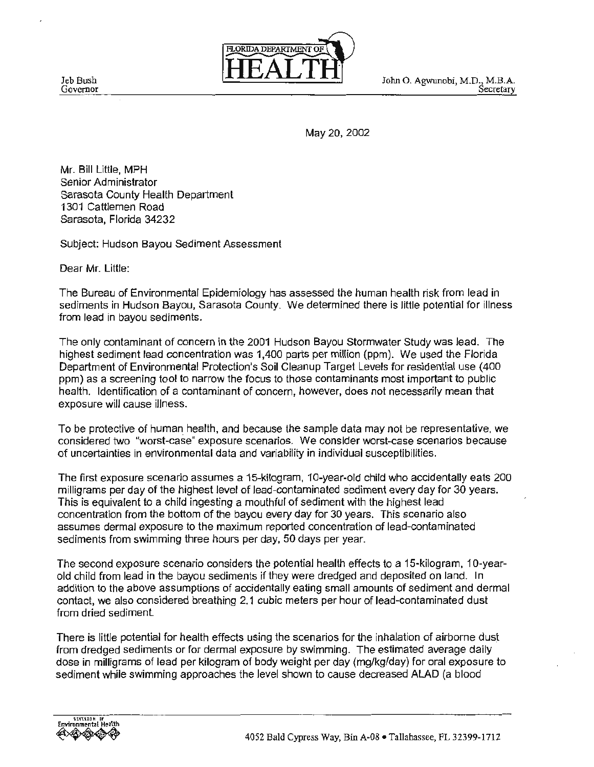Jeb Bush Governor



John O. Agwunobi, M.D., M.B.A.<br>Secretary

May 20,2002

Mr. Bill Little, MPH Senior Administrator Sarasota County Health Department 1301 Cattlemen Road Sarasota, Florida 34232

Subject: Hudson Bayou Sediment Assessment

Dear Mr. Little:

The Bureau of Environmental Epidemiology has assessed the human health risk from lead in sediments in Hudson Bayou, Sarasota County. We determined there is little potential for illness from lead in bayou sediments.

The only contaminant of concern in the 2001 Hudson Bayou Stormwater Study was lead. The highest sediment lead concentration was 1,400 parts per million (ppm). We used the Florida Department of Environmental Protection's Soil Cleanup Target Levels for residential use (400 ppm) as a screening tool to narrow the focus to those contaminants most important to public health. Identification of a contaminant of concern, however, does not necessarily mean that exposure will cause illness.

To be protective of human health, and because the sample data may not be representative, we considered two "worst-case" exposure scenarios. We consider worst-case scenarios because of uncertainties in environmental data and variability in individual susceptibilities.

The first exposure scenario assumes a 15-kilogram, 10-year-old child who accidentally eats 200 milligrams per day of the highest level of lead-contaminated sediment every day for 30 years. This is equivalent to a child ingesting a mouthful of sediment with the highest lead concentration from the bottom of the bayou every day for 30 years. This scenario also assumes dermal exposure to the maximum reported concentration of lead-contaminated sediments from swimming three hours per day, 50 days per year.

The second exposure scenario considers the potential health effects to a 15-kilogram, 1 0-yearold child from lead in the bayou sediments if they were dredged and deposited on land. In addition to the above assumptions of accidentally eating small amounts of sediment and dermal contact, we also considered breathing 2.1 cubic meters per hour of lead-contaminated dust from dried sediment.

There is little potential for health effects using the scenarios for the inhalation of airborne dust from dredged sediments or for dermal exposure by swimming. The estimated average daily dose in milligrams of lead per kilogram of body weight per day (mg/kg/day) for oral exposure to sediment while swimming approaches the level shown to cause decreased ALAD (a blood